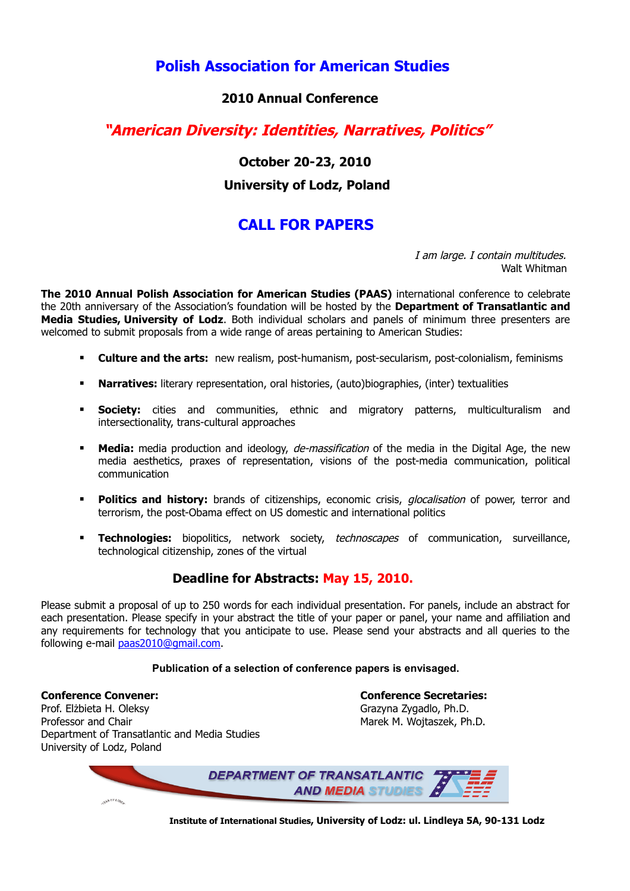**Polish Association for American Studies** 

## **2010 Annual Conference**

## **"American Diversity: Identities, Narratives, Politics"**

 **October 20-23, 2010 University of Lodz, Poland** 

# **CALL FOR PAPERS**

I am large. I contain multitudes. Walt Whitman

**The 2010 Annual Polish Association for American Studies (PAAS)** international conference to celebrate the 20th anniversary of the Association's foundation will be hosted by the **Department of Transatlantic and Media Studies, University of Lodz**. Both individual scholars and panels of minimum three presenters are welcomed to submit proposals from a wide range of areas pertaining to American Studies:

- **Culture and the arts:** new realism, post-humanism, post-secularism, post-colonialism, feminisms
- **Narratives:** literary representation, oral histories, (auto)biographies, (inter) textualities
- **Society:** cities and communities, ethnic and migratory patterns, multiculturalism and intersectionality, trans-cultural approaches
- **Media:** media production and ideology, *de-massification* of the media in the Digital Age, the new media aesthetics, praxes of representation, visions of the post-media communication, political communication
- **Politics and history:** brands of citizenships, economic crisis, *glocalisation* of power, terror and terrorism, the post-Obama effect on US domestic and international politics
- **Technologies:** biopolitics, network society, technoscapes of communication, surveillance, technological citizenship, zones of the virtual

## **Deadline for Abstracts: May 15, 2010.**

Please submit a proposal of up to 250 words for each individual presentation. For panels, include an abstract for each presentation. Please specify in your abstract the title of your paper or panel, your name and affiliation and any requirements for technology that you anticipate to use. Please send your abstracts and all queries to the following e-mail [paas2010@gmail.com.](mailto:paas2010@gmail.com)

#### **Publication of a selection of conference papers is envisaged.**

**Conference Convener: Conference Secretaries:** Prof. Elżbieta H. Oleksy Grazyna Zygadlo, Ph.D. Professor and Chair Marek M. Wojtaszek, Ph.D. Department of Transatlantic and Media Studies University of Lodz, Poland



 **Institute of International Studies, University of Lodz: ul. Lindleya 5A, 90-131 Lodz**